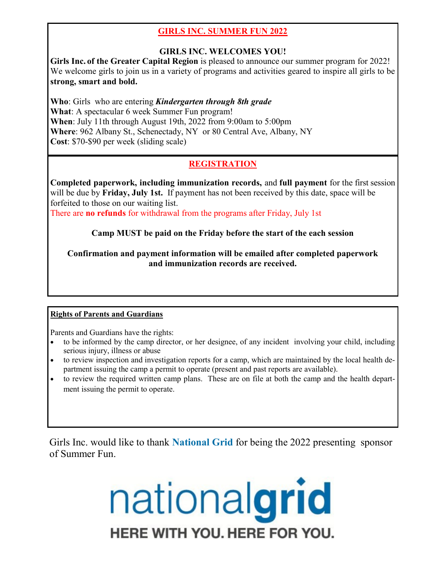# **GIRLS INC. SUMMER FUN 2022**

# **GIRLS INC. WELCOMES YOU!**

**Girls Inc. of the Greater Capital Region** is pleased to announce our summer program for 2022! We welcome girls to join us in a variety of programs and activities geared to inspire all girls to be **strong, smart and bold.**

**Who**: Girls who are entering *Kindergarten through 8th grade*  **What**: A spectacular 6 week Summer Fun program! **When**: July 11th through August 19th, 2022 from 9:00am to 5:00pm **Where**: 962 Albany St., Schenectady, NY or 80 Central Ave, Albany, NY **Cost**: \$70-\$90 per week (sliding scale)

# **REGISTRATION**

**Completed paperwork, including immunization records,** and **full payment** for the first session will be due by **Friday, July 1st.** If payment has not been received by this date, space will be forfeited to those on our waiting list.

There are **no refunds** for withdrawal from the programs after Friday, July 1st

# **Camp MUST be paid on the Friday before the start of the each session**

**Confirmation and payment information will be emailed after completed paperwork and immunization records are received.** 

## **Rights of Parents and Guardians**

Parents and Guardians have the rights:

- to be informed by the camp director, or her designee, of any incident involving your child, including serious injury, illness or abuse
- to review inspection and investigation reports for a camp, which are maintained by the local health department issuing the camp a permit to operate (present and past reports are available).
- to review the required written camp plans. These are on file at both the camp and the health department issuing the permit to operate.

Girls Inc. would like to thank **National Grid** for being the 2022 presenting sponsor of Summer Fun.

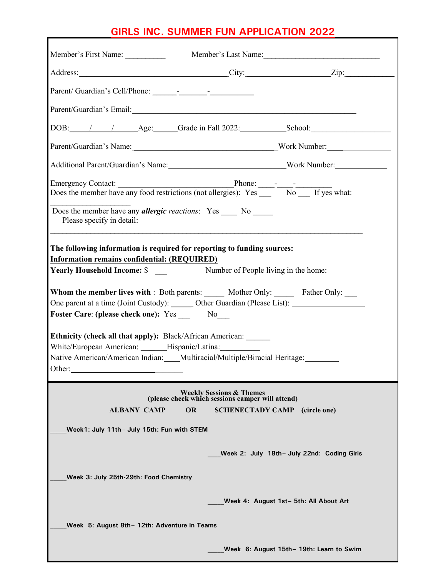# **GIRLS INC. SUMMER FUN APPLICATION 2022**

| Address: <u>City: City:</u> City: <u>City:</u> City: <u>City:</u> City: <u>City:</u> 2ip:                                                                                                                                                                                                                                                                                                 |                                                                                         |                                            |
|-------------------------------------------------------------------------------------------------------------------------------------------------------------------------------------------------------------------------------------------------------------------------------------------------------------------------------------------------------------------------------------------|-----------------------------------------------------------------------------------------|--------------------------------------------|
|                                                                                                                                                                                                                                                                                                                                                                                           |                                                                                         |                                            |
| Parent/Guardian's Email:<br><u>Parent/Guardian's Email:</u>                                                                                                                                                                                                                                                                                                                               |                                                                                         |                                            |
|                                                                                                                                                                                                                                                                                                                                                                                           |                                                                                         |                                            |
| Parent/Guardian's Name: North Mumber: North Mumber:                                                                                                                                                                                                                                                                                                                                       |                                                                                         |                                            |
| Additional Parent/Guardian's Name: Work Number: Work Number:                                                                                                                                                                                                                                                                                                                              |                                                                                         |                                            |
| Does the member have any <i>allergic reactions</i> : Yes No<br>Please specify in detail:                                                                                                                                                                                                                                                                                                  |                                                                                         |                                            |
| The following information is required for reporting to funding sources:<br>Information remains confidential: (REQUIRED)<br>Whom the member lives with: Both parents: _____Mother Only: ________ Father Only: _____<br>One parent at a time (Joint Custody): _______ Other Guardian (Please List): ________________________<br><b>Foster Care: (please check one):</b> Yes ________No_____ |                                                                                         |                                            |
| <b>Ethnicity (check all that apply):</b> Black/African American: ______<br>White/European American: ______Hispanic/Latina: ___________<br>Native American/American Indian: Multiracial/Multiple/Biracial Heritage: Multiple/Biracial Heritage:<br>Other:                                                                                                                                  |                                                                                         |                                            |
|                                                                                                                                                                                                                                                                                                                                                                                           | <b>Weekly Sessions &amp; Themes</b><br>(please check which sessions camper will attend) |                                            |
| <b>ALBANY CAMP</b><br>OR                                                                                                                                                                                                                                                                                                                                                                  |                                                                                         | <b>SCHENECTADY CAMP</b><br>(circle one)    |
| Week1: July 11th- July 15th: Fun with STEM                                                                                                                                                                                                                                                                                                                                                |                                                                                         |                                            |
|                                                                                                                                                                                                                                                                                                                                                                                           |                                                                                         | Week 2: July 18th- July 22nd: Coding Girls |
| Week 3: July 25th-29th: Food Chemistry                                                                                                                                                                                                                                                                                                                                                    |                                                                                         |                                            |
|                                                                                                                                                                                                                                                                                                                                                                                           |                                                                                         | Week 4: August 1st- 5th: All About Art     |
| Week 5: August 8th - 12th: Adventure in Teams                                                                                                                                                                                                                                                                                                                                             |                                                                                         |                                            |
|                                                                                                                                                                                                                                                                                                                                                                                           |                                                                                         | Week 6: August 15th - 19th: Learn to Swim  |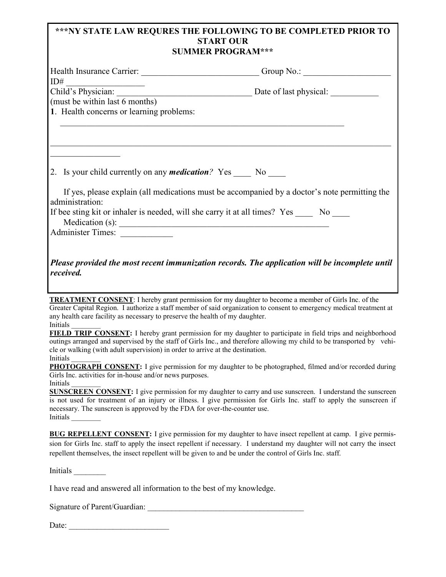### **\*\*\*NY STATE LAW REQURES THE FOLLOWING TO BE COMPLETED PRIOR TO START OUR SUMMER PROGRAM\*\*\***

| Health Insurance Carrier: Carrier: Group No.: Carrier: Carrier: Carrier: Carrier: Carrier: Carrier: Carrier: Carrier: Carrier: Carrier: Carrier: Carrier: Carrier: Carrier: Carrier: Carrier: Carrier: Carrier: Carrier: Carri |  |
|--------------------------------------------------------------------------------------------------------------------------------------------------------------------------------------------------------------------------------|--|
|                                                                                                                                                                                                                                |  |
|                                                                                                                                                                                                                                |  |
| (must be within last 6 months)                                                                                                                                                                                                 |  |
| 1. Health concerns or learning problems:                                                                                                                                                                                       |  |
|                                                                                                                                                                                                                                |  |
| 2. Is your child currently on any <i>medication</i> ? Yes _____ No _____                                                                                                                                                       |  |
| If yes, please explain (all medications must be accompanied by a doctor's note permitting the                                                                                                                                  |  |
| administration:                                                                                                                                                                                                                |  |
| If bee sting kit or inhaler is needed, will she carry it at all times? Yes No<br>Medication (s):                                                                                                                               |  |
| Administer Times:                                                                                                                                                                                                              |  |
| Please provided the most recent immunization records. The application will be incomplete until<br>received.                                                                                                                    |  |

**TREATMENT CONSENT**: I hereby grant permission for my daughter to become a member of Girls Inc. of the Greater Capital Region. I authorize a staff member of said organization to consent to emergency medical treatment at any health care facility as necessary to preserve the health of my daughter. Initials \_\_\_\_\_\_\_\_

**FIELD TRIP CONSENT:** I hereby grant permission for my daughter to participate in field trips and neighborhood outings arranged and supervised by the staff of Girls Inc., and therefore allowing my child to be transported by vehicle or walking (with adult supervision) in order to arrive at the destination.

Initials \_\_\_\_\_\_\_\_

**PHOTOGRAPH CONSENT:** I give permission for my daughter to be photographed, filmed and/or recorded during Girls Inc. activities for in-house and/or news purposes. Initials \_\_\_\_\_\_\_\_

**SUNSCREEN CONSENT:** I give permission for my daughter to carry and use sunscreen. I understand the sunscreen is not used for treatment of an injury or illness. I give permission for Girls Inc. staff to apply the sunscreen if necessary. The sunscreen is approved by the FDA for over-the-counter use. Initials \_\_\_\_\_\_\_\_

**BUG REPELLENT CONSENT:** I give permission for my daughter to have insect repellent at camp. I give permission for Girls Inc. staff to apply the insect repellent if necessary. I understand my daughter will not carry the insect repellent themselves, the insect repellent will be given to and be under the control of Girls Inc. staff.

Initials \_\_\_\_\_\_\_\_

I have read and answered all information to the best of my knowledge.

Signature of Parent/Guardian:

Date: